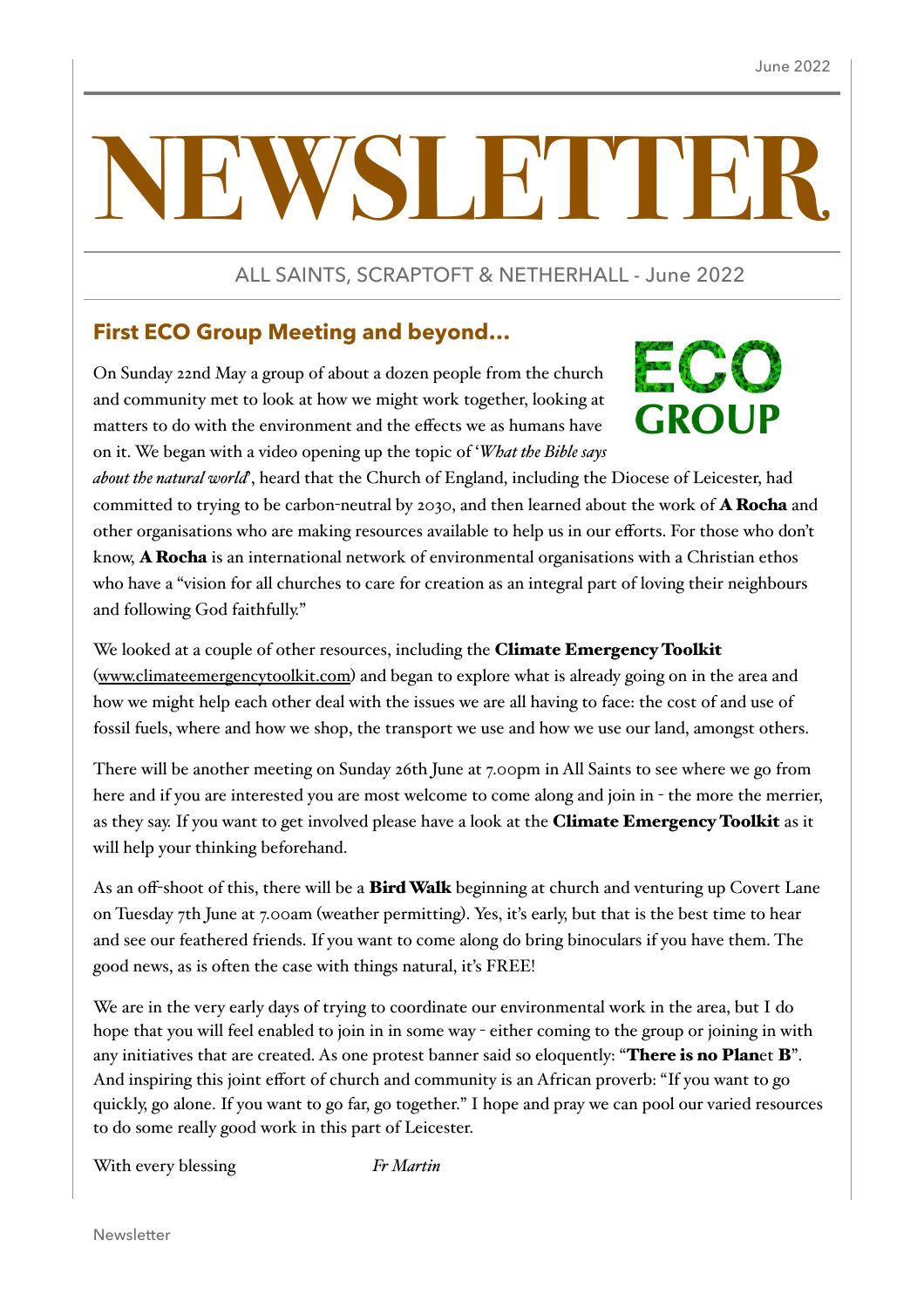# WST FTHE

ALL SAINTS, SCRAPTOFT & NETHERHALL - June 2022

### **First ECO Group Meeting and beyond…**

On Sunday 22nd May a group of about a dozen people from the church and community met to look at how we might work together, looking at matters to do with the environment and the effects we as humans have on it. We began with a video opening up the topic of '*What the Bible says* 

# ECO **GROUP**

*about the natural world*', heard that the Church of England, including the Diocese of Leicester, had committed to trying to be carbon-neutral by 2030, and then learned about the work of A Rocha and other organisations who are making resources available to help us in our efforts. For those who don't know, A Rocha is an international network of environmental organisations with a Christian ethos who have a "vision for all churches to care for creation as an integral part of loving their neighbours and following God faithfully."

We looked at a couple of other resources, including the Climate Emergency Toolkit ([www.climateemergencytoolkit.com](http://www.climateemergencytoolkit.com)) and began to explore what is already going on in the area and how we might help each other deal with the issues we are all having to face: the cost of and use of fossil fuels, where and how we shop, the transport we use and how we use our land, amongst others.

There will be another meeting on Sunday 26th June at 7.00pm in All Saints to see where we go from here and if you are interested you are most welcome to come along and join in - the more the merrier, as they say. If you want to get involved please have a look at the Climate Emergency Toolkit as it will help your thinking beforehand.

As an off-shoot of this, there will be a **Bird Walk** beginning at church and venturing up Covert Lane on Tuesday 7th June at 7.00am (weather permitting). Yes, it's early, but that is the best time to hear and see our feathered friends. If you want to come along do bring binoculars if you have them. The good news, as is often the case with things natural, it's FREE!

We are in the very early days of trying to coordinate our environmental work in the area, but I do hope that you will feel enabled to join in in some way - either coming to the group or joining in with any initiatives that are created. As one protest banner said so eloquently: "There is no Planet B". And inspiring this joint effort of church and community is an African proverb: "If you want to go quickly, go alone. If you want to go far, go together." I hope and pray we can pool our varied resources to do some really good work in this part of Leicester.

With every blessing *Fr Martin*